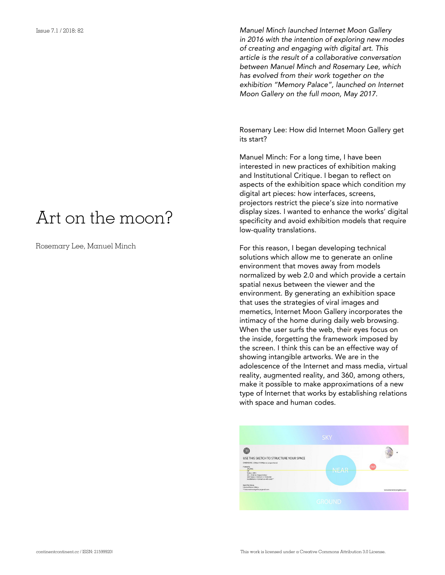## Art on the moon?

Rosemary Lee, Manuel Minch

*Manuel Minch launched Internet Moon Gallery in 2016 with the intention of exploring new modes of creating and engaging with digital art. This article is the result of a collaborative conversation between Manuel Minch and Rosemary Lee, which has evolved from their work together on the exhibition "Memory Palace", launched on Internet Moon Gallery on the full moon, May 2017.*

Rosemary Lee: How did Internet Moon Gallery get its start?

Manuel Minch: For a long time, I have been interested in new practices of exhibition making and Institutional Critique. I began to reflect on aspects of the exhibition space which condition my digital art pieces: how interfaces, screens, projectors restrict the piece's size into normative display sizes. I wanted to enhance the works' digital specificity and avoid exhibition models that require low-quality translations.

For this reason, I began developing technical solutions which allow me to generate an online environment that moves away from models normalized by web 2.0 and which provide a certain spatial nexus between the viewer and the environment. By generating an exhibition space that uses the strategies of viral images and memetics, Internet Moon Gallery incorporates the intimacy of the home during daily web browsing. When the user surfs the web, their eyes focus on the inside, forgetting the framework imposed by the screen. I think this can be an effective way of showing intangible artworks. We are in the adolescence of the Internet and mass media, virtual reality, augmented reality, and 360, among others, make it possible to make approximations of a new type of Internet that works by establishing relations with space and human codes.

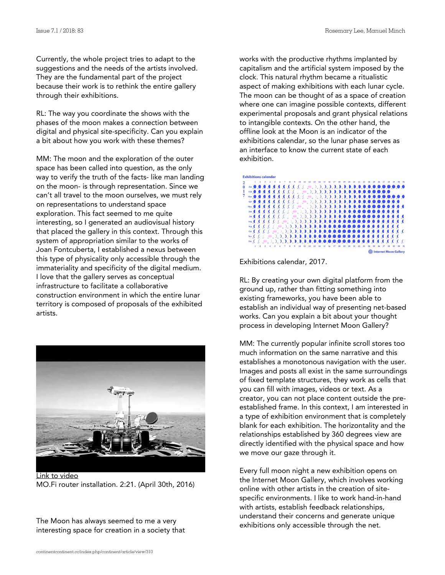Currently, the whole project tries to adapt to the suggestions and the needs of the artists involved. They are the fundamental part of the project because their work is to rethink the entire gallery through their exhibitions.

RL: The way you coordinate the shows with the phases of the moon makes a connection between digital and physical site-specificity. Can you explain a bit about how you work with these themes?

MM: The moon and the exploration of the outer space has been called into question, as the only way to verify the truth of the facts- like man landing on the moon- is through representation. Since we can't all travel to the moon ourselves, we must rely on representations to understand space exploration. This fact seemed to me quite interesting, so I generated an audiovisual history that placed the gallery in this context. Through this system of appropriation similar to the works of Joan Fontcuberta, I established a nexus between this type of physicality only accessible through the immateriality and specificity of the digital medium. I love that the gallery serves as conceptual infrastructure to facilitate a collaborative construction environment in which the entire lunar territory is composed of proposals of the exhibited artists.



[Link to video](https://www.youtube.com/watch?v=7OCrJsOqUrE) MO.Fi router installation. 2:21. (April 30th, 2016)

The Moon has always seemed to me a very interesting space for creation in a society that works with the productive rhythms implanted by capitalism and the artificial system imposed by the clock. This natural rhythm became a ritualistic aspect of making exhibitions with each lunar cycle. The moon can be thought of as a space of creation where one can imagine possible contexts, different experimental proposals and grant physical relations to intangible contexts. On the other hand, the offline look at the Moon is an indicator of the exhibitions calendar, so the lunar phase serves as an interface to know the current state of each exhibition.



Exhibitions calendar, 2017.

RL: By creating your own digital platform from the ground up, rather than fitting something into existing frameworks, you have been able to establish an individual way of presenting net-based works. Can you explain a bit about your thought process in developing Internet Moon Gallery?

MM: The currently popular infinite scroll stores too much information on the same narrative and this establishes a monotonous navigation with the user. Images and posts all exist in the same surroundings of fixed template structures, they work as cells that you can fill with images, videos or text. As a creator, you can not place content outside the preestablished frame. In this context, I am interested in a type of exhibition environment that is completely blank for each exhibition. The horizontality and the relationships established by 360 degrees view are directly identified with the physical space and how we move our gaze through it.

Every full moon night a new exhibition opens on the Internet Moon Gallery, which involves working online with other artists in the creation of sitespecific environments. I like to work hand-in-hand with artists, establish feedback relationships, understand their concerns and generate unique exhibitions only accessible through the net.